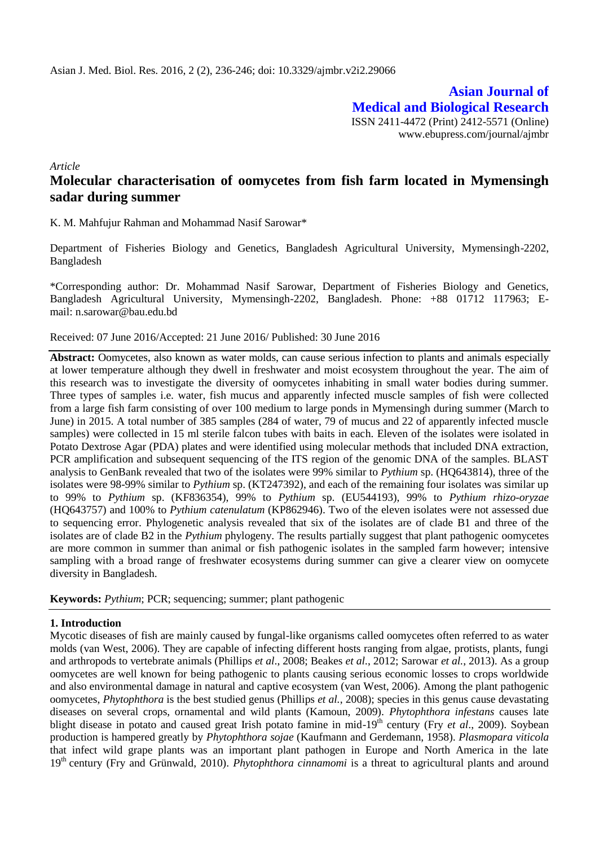**Asian Journal of Medical and Biological Research** ISSN 2411-4472 (Print) 2412-5571 (Online) www.ebupress.com/journal/ajmbr

*Article*

# **Molecular characterisation of oomycetes from fish farm located in Mymensingh sadar during summer**

K. M. Mahfujur Rahman and Mohammad Nasif Sarowar\*

Department of Fisheries Biology and Genetics, Bangladesh Agricultural University, Mymensingh-2202, Bangladesh

\*Corresponding author: Dr. Mohammad Nasif Sarowar, Department of Fisheries Biology and Genetics, Bangladesh Agricultural University, Mymensingh-2202, Bangladesh. Phone: +88 01712 117963; Email: [n.sarowar@bau.edu.bd](mailto:n.sarowar@bau.edu.bd)

# Received: 07 June 2016/Accepted: 21 June 2016/ Published: 30 June 2016

**Abstract:** Oomycetes, also known as water molds, can cause serious infection to plants and animals especially at lower temperature although they dwell in freshwater and moist ecosystem throughout the year. The aim of this research was to investigate the diversity of oomycetes inhabiting in small water bodies during summer. Three types of samples i.e. water, fish mucus and apparently infected muscle samples of fish were collected from a large fish farm consisting of over 100 medium to large ponds in Mymensingh during summer (March to June) in 2015. A total number of 385 samples (284 of water, 79 of mucus and 22 of apparently infected muscle samples) were collected in 15 ml sterile falcon tubes with baits in each. Eleven of the isolates were isolated in Potato Dextrose Agar (PDA) plates and were identified using molecular methods that included DNA extraction, PCR amplification and subsequent sequencing of the ITS region of the genomic DNA of the samples. BLAST analysis to GenBank revealed that two of the isolates were 99% similar to *Pythium* sp. (HQ643814), three of the isolates were 98-99% similar to *Pythium* sp. (KT247392), and each of the remaining four isolates was similar up to 99% to *Pythium* sp. (KF836354), 99% to *Pythium* sp. (EU544193), 99% to *Pythium rhizo-oryzae* (HQ643757) and 100% to *Pythium catenulatum* (KP862946). Two of the eleven isolates were not assessed due to sequencing error. Phylogenetic analysis revealed that six of the isolates are of clade B1 and three of the isolates are of clade B2 in the *Pythium* phylogeny. The results partially suggest that plant pathogenic oomycetes are more common in summer than animal or fish pathogenic isolates in the sampled farm however; intensive sampling with a broad range of freshwater ecosystems during summer can give a clearer view on oomycete diversity in Bangladesh.

**Keywords:** *Pythium*; PCR; sequencing; summer; plant pathogenic

# **1. Introduction**

Mycotic diseases of fish are mainly caused by fungal-like organisms called oomycetes often referred to as water molds (van West, 2006). They are capable of infecting different hosts ranging from algae, protists, plants, fungi and arthropods to vertebrate animals (Phillips *et al*., 2008; Beakes *et al.*, 2012; Sarowar *et al.*, 2013). As a group oomycetes are well known for being pathogenic to plants causing serious economic losses to crops worldwide and also environmental damage in natural and captive ecosystem (van West, 2006). Among the plant pathogenic oomycetes, *Phytophthora* is the best studied genus (Phillips *et al.*, 2008); species in this genus cause devastating diseases on several crops, ornamental and wild plants (Kamoun, 2009). *Phytophthora infestans* causes late blight disease in potato and caused great Irish potato famine in mid-19<sup>th</sup> century (Fry *et al.*, 2009). Soybean production is hampered greatly by *Phytophthora sojae* (Kaufmann and Gerdemann, 1958). *Plasmopara viticola* that infect wild grape plants was an important plant pathogen in Europe and North America in the late 19th century (Fry and Grünwald, 2010). *Phytophthora cinnamomi* is a threat to agricultural plants and around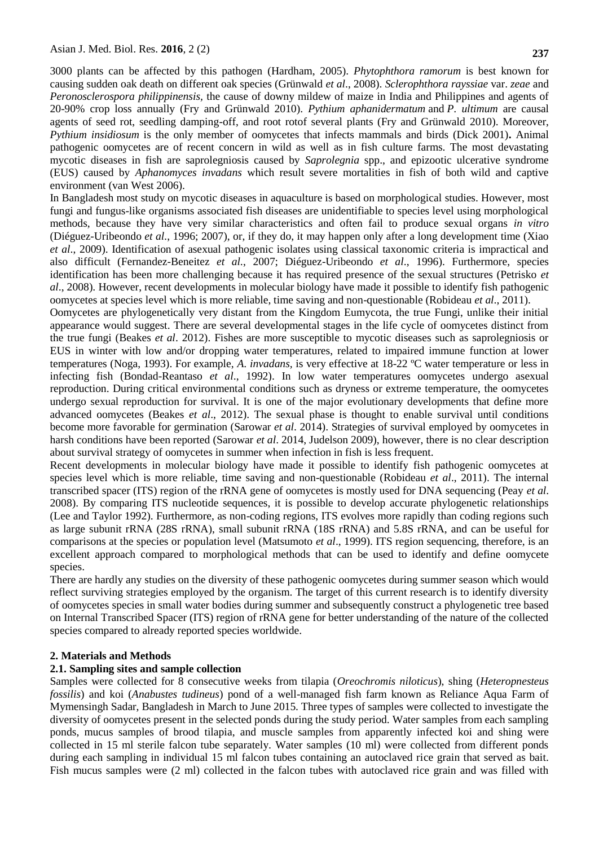3000 plants can be affected by this pathogen (Hardham, 2005). *Phytophthora ramorum* is best known for causing sudden oak death on different oak species (Grünwald *et al*., 2008). *Sclerophthora rayssiae* var. *zeae* and *Peronosclerospora philippinensis,* the cause of downy mildew of maize in India and Philippines and agents of 20-90% crop loss annually (Fry and Grünwald 2010). *Pythium aphanidermatum* and *P. ultimum* are causal agents of seed rot, seedling damping-off, and root rotof several plants (Fry and Grünwald 2010). Moreover, *Pythium insidiosum* is the only member of oomycetes that infects mammals and birds (Dick 2001)**.** Animal pathogenic oomycetes are of recent concern in wild as well as in fish culture farms. The most devastating mycotic diseases in fish are saprolegniosis caused by *Saprolegnia* spp., and epizootic ulcerative syndrome (EUS) caused by *Aphanomyces invadans* which result severe mortalities in fish of both wild and captive environment (van West 2006).

In Bangladesh most study on mycotic diseases in aquaculture is based on morphological studies. However, most fungi and fungus-like organisms associated fish diseases are unidentifiable to species level using morphological methods, because they have very similar characteristics and often fail to produce sexual organs *in vitro* (Diéguez-Uribeondo *et al.*, 1996; 2007), or, if they do, it may happen only after a long development time (Xiao *et al*., 2009). Identification of asexual pathogenic isolates using classical taxonomic criteria is impractical and also difficult (Fernandez-Beneitez *et al.*, 2007; Diéguez-Uribeondo *et al*., 1996). Furthermore, species identification has been more challenging because it has required presence of the sexual structures (Petrisko *et al*., 2008). However, recent developments in molecular biology have made it possible to identify fish pathogenic oomycetes at species level which is more reliable, time saving and non-questionable (Robideau *et al*., 2011).

Oomycetes are phylogenetically very distant from the Kingdom Eumycota, the true Fungi, unlike their initial appearance would suggest. There are several developmental stages in the life cycle of oomycetes distinct from the true fungi (Beakes *et al*. 2012). Fishes are more susceptible to mycotic diseases such as saprolegniosis or EUS in winter with low and/or dropping water temperatures, related to impaired immune function at lower temperatures (Noga, 1993). For example, *A. invadans,* is very effective at 18-22 ºC water temperature or less in infecting fish (Bondad-Reantaso *et al*., 1992). In low water temperatures oomycetes undergo asexual reproduction. During critical environmental conditions such as dryness or extreme temperature, the oomycetes undergo sexual reproduction for survival. It is one of the major evolutionary developments that define more advanced oomycetes (Beakes *et al*., 2012). The sexual phase is thought to enable survival until conditions become more favorable for germination (Sarowar *et al*. 2014). Strategies of survival employed by oomycetes in harsh conditions have been reported (Sarowar *et al*. 2014, Judelson 2009), however, there is no clear description about survival strategy of oomycetes in summer when infection in fish is less frequent.

Recent developments in molecular biology have made it possible to identify fish pathogenic oomycetes at species level which is more reliable, time saving and non-questionable (Robideau *et al*., 2011). The internal transcribed spacer (ITS) region of the rRNA gene of oomycetes is mostly used for DNA sequencing (Peay *et al*. 2008). By comparing ITS nucleotide sequences, it is possible to develop accurate phylogenetic relationships (Lee and Taylor 1992). Furthermore, as non-coding regions, ITS evolves more rapidly than coding regions such as large subunit rRNA (28S rRNA), small subunit rRNA (18S rRNA) and 5.8S rRNA, and can be useful for comparisons at the species or population level (Matsumoto *et al*., 1999). ITS region sequencing, therefore, is an excellent approach compared to morphological methods that can be used to identify and define oomycete species.

There are hardly any studies on the diversity of these pathogenic oomycetes during summer season which would reflect surviving strategies employed by the organism. The target of this current research is to identify diversity of oomycetes species in small water bodies during summer and subsequently construct a phylogenetic tree based on Internal Transcribed Spacer (ITS) region of rRNA gene for better understanding of the nature of the collected species compared to already reported species worldwide.

#### **2. Materials and Methods**

#### **2.1. Sampling sites and sample collection**

Samples were collected for 8 consecutive weeks from tilapia (*Oreochromis niloticus*), shing (*Heteropnesteus fossilis*) and koi (*Anabustes tudineus*) pond of a well-managed fish farm known as Reliance Aqua Farm of Mymensingh Sadar, Bangladesh in March to June 2015. Three types of samples were collected to investigate the diversity of oomycetes present in the selected ponds during the study period. Water samples from each sampling ponds, mucus samples of brood tilapia, and muscle samples from apparently infected koi and shing were collected in 15 ml sterile falcon tube separately. Water samples (10 ml) were collected from different ponds during each sampling in individual 15 ml falcon tubes containing an autoclaved rice grain that served as bait. Fish mucus samples were (2 ml) collected in the falcon tubes with autoclaved rice grain and was filled with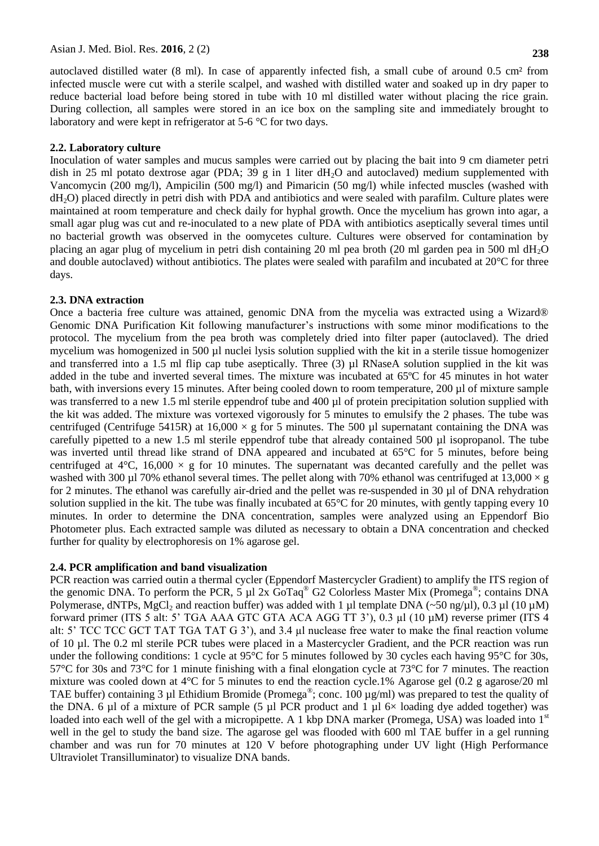autoclaved distilled water (8 ml). In case of apparently infected fish, a small cube of around 0.5 cm² from infected muscle were cut with a sterile scalpel, and washed with distilled water and soaked up in dry paper to reduce bacterial load before being stored in tube with 10 ml distilled water without placing the rice grain. During collection, all samples were stored in an ice box on the sampling site and immediately brought to laboratory and were kept in refrigerator at 5-6 °C for two days.

# **2.2. Laboratory culture**

Inoculation of water samples and mucus samples were carried out by placing the bait into 9 cm diameter petri dish in 25 ml potato dextrose agar (PDA; 39 g in 1 liter  $dH_2O$  and autoclaved) medium supplemented with Vancomycin (200 mg/l), Ampicilin (500 mg/l) and Pimaricin (50 mg/l) while infected muscles (washed with dH2O) placed directly in petri dish with PDA and antibiotics and were sealed with parafilm. Culture plates were maintained at room temperature and check daily for hyphal growth. Once the mycelium has grown into agar, a small agar plug was cut and re-inoculated to a new plate of PDA with antibiotics aseptically several times until no bacterial growth was observed in the oomycetes culture. Cultures were observed for contamination by placing an agar plug of mycelium in petri dish containing 20 ml pea broth (20 ml garden pea in 500 ml  $dH_2O$ and double autoclaved) without antibiotics. The plates were sealed with parafilm and incubated at 20°C for three days.

# **2.3. DNA extraction**

Once a bacteria free culture was attained, genomic DNA from the mycelia was extracted using a Wizard® Genomic DNA Purification Kit following manufacturer's instructions with some minor modifications to the protocol. The mycelium from the pea broth was completely dried into filter paper (autoclaved). The dried mycelium was homogenized in 500 µl nuclei lysis solution supplied with the kit in a sterile tissue homogenizer and transferred into a 1.5 ml flip cap tube aseptically. Three (3) µl RNaseA solution supplied in the kit was added in the tube and inverted several times. The mixture was incubated at 65ºC for 45 minutes in hot water bath, with inversions every 15 minutes. After being cooled down to room temperature, 200 µl of mixture sample was transferred to a new 1.5 ml sterile eppendrof tube and 400 µl of protein precipitation solution supplied with the kit was added. The mixture was vortexed vigorously for 5 minutes to emulsify the 2 phases. The tube was centrifuged (Centrifuge 5415R) at 16,000  $\times$  g for 5 minutes. The 500 µl supernatant containing the DNA was carefully pipetted to a new 1.5 ml sterile eppendrof tube that already contained 500 µl isopropanol. The tube was inverted until thread like strand of DNA appeared and incubated at 65°C for 5 minutes, before being centrifuged at  $4^{\circ}$ C, 16,000  $\times$  g for 10 minutes. The supernatant was decanted carefully and the pellet was washed with 300 µl 70% ethanol several times. The pellet along with 70% ethanol was centrifuged at  $13,000 \times g$ for 2 minutes. The ethanol was carefully air-dried and the pellet was re-suspended in 30 µl of DNA rehydration solution supplied in the kit. The tube was finally incubated at  $65^{\circ}$ C for 20 minutes, with gently tapping every 10 minutes. In order to determine the DNA concentration, samples were analyzed using an Eppendorf Bio Photometer plus. Each extracted sample was diluted as necessary to obtain a DNA concentration and checked further for quality by electrophoresis on 1% agarose gel.

# **2.4. PCR amplification and band visualization**

PCR reaction was carried outin a thermal cycler (Eppendorf Mastercycler Gradient) to amplify the ITS region of the genomic DNA. To perform the PCR, 5  $\mu$ 1 2x GoTaq<sup>®</sup> G2 Colorless Master Mix (Promega<sup>®</sup>; contains DNA Polymerase, dNTPs, MgCl<sub>2</sub> and reaction buffer) was added with 1 µl template DNA (~50 ng/µl), 0.3 µl (10 µM) forward primer (ITS 5 alt: 5" TGA AAA GTC GTA ACA AGG TT 3"), 0.3 µl (10 µM) reverse primer (ITS 4 alt: 5" TCC TCC GCT TAT TGA TAT G 3"), and 3.4 µl nuclease free water to make the final reaction volume of 10 µl. The 0.2 ml sterile PCR tubes were placed in a Mastercycler Gradient, and the PCR reaction was run under the following conditions: 1 cycle at 95°C for 5 minutes followed by 30 cycles each having 95°C for 30s, 57°C for 30s and 73°C for 1 minute finishing with a final elongation cycle at 73°C for 7 minutes. The reaction mixture was cooled down at  $4^{\circ}$ C for 5 minutes to end the reaction cycle.1% Agarose gel (0.2 g agarose/20 ml TAE buffer) containing 3 µl Ethidium Bromide (Promega®; conc. 100 µg/ml) was prepared to test the quality of the DNA. 6 µl of a mixture of PCR sample (5 µl PCR product and 1 µl  $6\times$  loading dye added together) was loaded into each well of the gel with a micropipette. A 1 kbp DNA marker (Promega, USA) was loaded into 1<sup>st</sup> well in the gel to study the band size. The agarose gel was flooded with 600 ml TAE buffer in a gel running chamber and was run for 70 minutes at 120 V before photographing under UV light (High Performance Ultraviolet Transilluminator) to visualize DNA bands.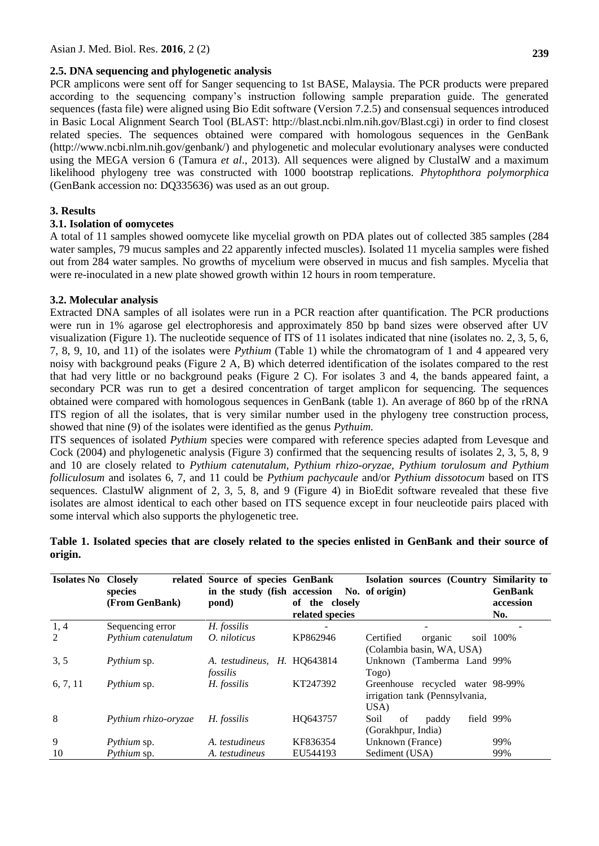#### **2.5. DNA sequencing and phylogenetic analysis**

PCR amplicons were sent off for Sanger sequencing to 1st BASE, Malaysia. The PCR products were prepared according to the sequencing company's instruction following sample preparation guide. The generated sequences (fasta file) were aligned using Bio Edit software (Version 7.2.5) and consensual sequences introduced in Basic Local Alignment Search Tool (BLAST: [http://blast.ncbi.nlm.nih.gov/Blast.cgi\)](http://blast.ncbi.nlm.nih.gov/Blast.cgi) in order to find closest related species. The sequences obtained were compared with homologous sequences in the GenBank [\(http://www.ncbi.nlm.nih.gov/genbank/\)](http://www.ncbi.nlm.nih.gov/genbank/) and phylogenetic and molecular evolutionary analyses were conducted using the MEGA version 6 (Tamura *et al*., 2013). All sequences were aligned by ClustalW and a maximum likelihood phylogeny tree was constructed with 1000 bootstrap replications. *Phytophthora polymorphica* (GenBank accession no: DQ335636) was used as an out group.

# **3. Results**

#### **3.1. Isolation of oomycetes**

A total of 11 samples showed oomycete like mycelial growth on PDA plates out of collected 385 samples (284 water samples, 79 mucus samples and 22 apparently infected muscles). Isolated 11 mycelia samples were fished out from 284 water samples. No growths of mycelium were observed in mucus and fish samples. Mycelia that were re-inoculated in a new plate showed growth within 12 hours in room temperature.

# **3.2. Molecular analysis**

Extracted DNA samples of all isolates were run in a PCR reaction after quantification. The PCR productions were run in 1% agarose gel electrophoresis and approximately 850 bp band sizes were observed after UV visualization (Figure 1). The nucleotide sequence of ITS of 11 isolates indicated that nine (isolates no. 2, 3, 5, 6, 7, 8, 9, 10, and 11) of the isolates were *Pythium* (Table 1) while the chromatogram of 1 and 4 appeared very noisy with background peaks (Figure 2 A, B) which deterred identification of the isolates compared to the rest that had very little or no background peaks (Figure 2 C). For isolates 3 and 4, the bands appeared faint, a secondary PCR was run to get a desired concentration of target amplicon for sequencing. The sequences obtained were compared with homologous sequences in GenBank (table 1). An average of 860 bp of the rRNA ITS region of all the isolates, that is very similar number used in the phylogeny tree construction process, showed that nine (9) of the isolates were identified as the genus *Pythuim.* 

ITS sequences of isolated *Pythium* species were compared with reference species adapted from Levesque and Cock (2004) and phylogenetic analysis (Figure 3) confirmed that the sequencing results of isolates 2, 3, 5, 8, 9 and 10 are closely related to *Pythium catenutalum*, *Pythium rhizo-oryzae, Pythium torulosum and Pythium folliculosum* and isolates 6, 7, and 11 could be *Pythium pachycaule* and/or *Pythium dissotocum* based on ITS sequences. ClastulW alignment of 2, 3, 5, 8, and 9 (Figure 4) in BioEdit software revealed that these five isolates are almost identical to each other based on ITS sequence except in four neucleotide pairs placed with some interval which also supports the phylogenetic tree.

| <b>Isolates No Closely</b> | species<br>(From GenBank) | related Source of species GenBank<br>in the study (fish accession No. of origin)<br>pond) | of the closely<br>related species | Isolation sources (Country Similarity to | <b>GenBank</b><br>accession<br>No. |
|----------------------------|---------------------------|-------------------------------------------------------------------------------------------|-----------------------------------|------------------------------------------|------------------------------------|
| 1, 4                       | Sequencing error          | H. fossilis                                                                               |                                   |                                          |                                    |
| 2                          | Pythium catenulatum       | O. niloticus                                                                              | KP862946                          | Certified<br>organic                     | soil 100%                          |
|                            |                           |                                                                                           |                                   | (Colambia basin, WA, USA)                |                                    |
| 3, 5                       | Pythium sp.               | A. testudineus.                                                                           | H. HO643814                       | Unknown (Tamberma Land 99%               |                                    |
|                            |                           | fossilis                                                                                  |                                   | Togo)                                    |                                    |
| 6, 7, 11                   | Pythium sp.               | H. fossilis                                                                               | KT247392                          | Greenhouse recycled water 98-99%         |                                    |
|                            |                           |                                                                                           |                                   | irrigation tank (Pennsylvania,           |                                    |
|                            |                           |                                                                                           |                                   | USA)                                     |                                    |
| 8                          | Pythium rhizo-oryzae      | H. fossilis                                                                               | HO643757                          | Soil<br>field 99%<br>paddy<br>of         |                                    |
|                            |                           |                                                                                           |                                   | (Gorakhpur, India)                       |                                    |
| 9                          | Pythium sp.               | A. testudineus                                                                            | KF836354                          | Unknown (France)                         | 99%                                |
| 10                         | <i>Pythium</i> sp.        | A. testudineus                                                                            | EU544193                          | Sediment (USA)                           | 99%                                |

|         |  |  | Table 1. Isolated species that are closely related to the species enlisted in GenBank and their source of |  |  |
|---------|--|--|-----------------------------------------------------------------------------------------------------------|--|--|
| origin. |  |  |                                                                                                           |  |  |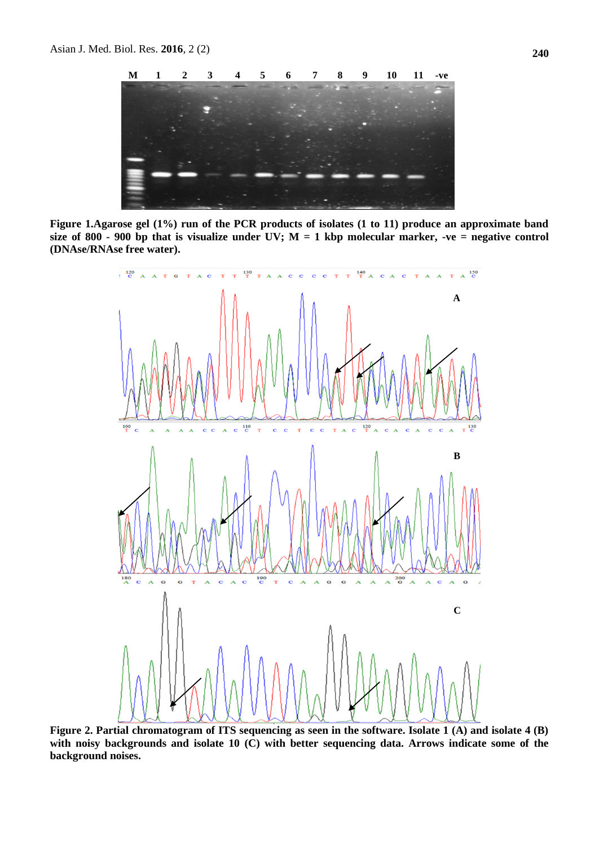

**Figure 1.Agarose gel (1%) run of the PCR products of isolates (1 to 11) produce an approximate band**  size of 800 - 900 bp that is visualize under UV;  $M = 1$  kbp molecular marker, -ve = negative control **(DNAse/RNAse free water).**



**Figure 2. Partial chromatogram of ITS sequencing as seen in the software. Isolate 1 (A) and isolate 4 (B) with noisy backgrounds and isolate 10 (C) with better sequencing data. Arrows indicate some of the background noises.**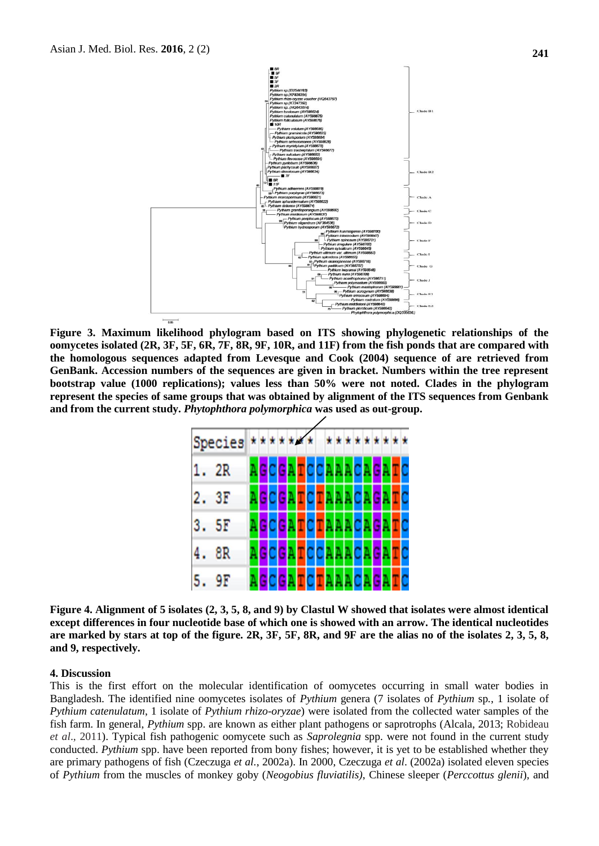

**Figure 3. Maximum likelihood phylogram based on ITS showing phylogenetic relationships of the oomycetes isolated (2R, 3F, 5F, 6R, 7F, 8R, 9F, 10R, and 11F) from the fish ponds that are compared with the homologous sequences adapted from Levesque and Cook (2004) sequence of are retrieved from GenBank. Accession numbers of the sequences are given in bracket. Numbers within the tree represent bootstrap value (1000 replications); values less than 50% were not noted. Clades in the phylogram represent the species of same groups that was obtained by alignment of the ITS sequences from Genbank and from the current study.** *Phytophthora polymorphica* **was used as out-group.**



**Figure 4. Alignment of 5 isolates (2, 3, 5, 8, and 9) by Clastul W showed that isolates were almost identical except differences in four nucleotide base of which one is showed with an arrow. The identical nucleotides are marked by stars at top of the figure. 2R, 3F, 5F, 8R, and 9F are the alias no of the isolates 2, 3, 5, 8, and 9, respectively.**

#### **4. Discussion**

This is the first effort on the molecular identification of oomycetes occurring in small water bodies in Bangladesh. The identified nine oomycetes isolates of *Pythium* genera (7 isolates of *Pythium* sp*.*, 1 isolate of *Pythium catenulatum*, 1 isolate of *Pythium rhizo-oryzae*) were isolated from the collected water samples of the fish farm. In general, *Pythium* spp. are known as either plant pathogens or saprotrophs (Alcala, 2013; Robideau *et al*., 2011). Typical fish pathogenic oomycete such as *Saprolegnia* spp. were not found in the current study conducted. *Pythium* spp. have been reported from bony fishes; however, it is yet to be established whether they are primary pathogens of fish (Czeczuga *et al.*, 2002a). In 2000, Czeczuga *et al*. (2002a) isolated eleven species of *Pythium* from the muscles of monkey goby (*Neogobius fluviatilis)*, Chinese sleeper (*Perccottus glenii*)*,* and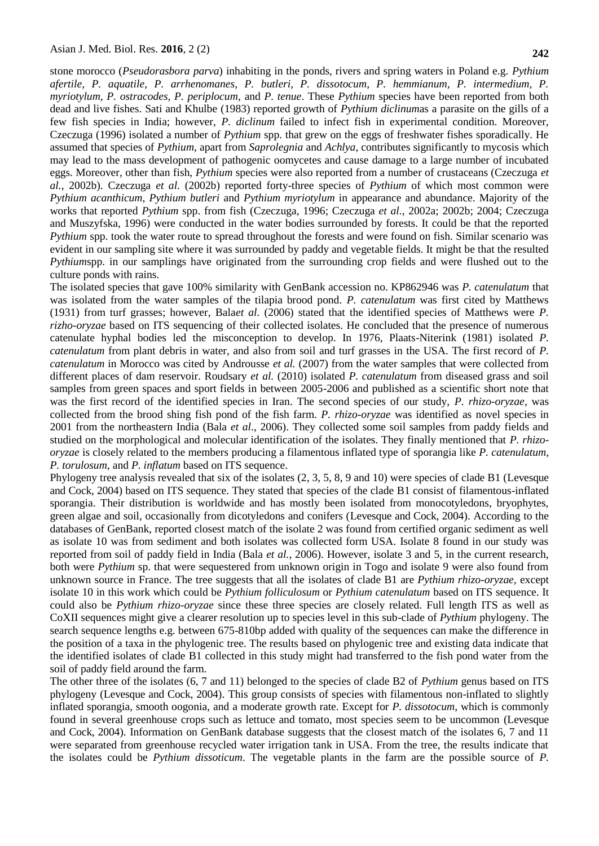stone morocco (*Pseudorasbora parva*) inhabiting in the ponds, rivers and spring waters in Poland e.g. *Pythium afertile, P. aquatile, P. arrhenomanes, P. butleri, P. dissotocum, P. hemmianum, P. intermedium, P. myriotylum, P. ostracodes, P. periplocum,* and *P. tenue*. These *Pythium* species have been reported from both dead and live fishes. Sati and Khulbe (1983) reported growth of *Pythium diclinum*as a parasite on the gills of a few fish species in India; however, *P. diclinum* failed to infect fish in experimental condition. Moreover, Czeczuga (1996) isolated a number of *Pythium* spp. that grew on the eggs of freshwater fishes sporadically. He assumed that species of *Pythium*, apart from *Saprolegnia* and *Achlya*, contributes significantly to mycosis which may lead to the mass development of pathogenic oomycetes and cause damage to a large number of incubated eggs. Moreover, other than fish, *Pythium* species were also reported from a number of crustaceans (Czeczuga *et al.*, 2002b). Czeczuga *et al.* (2002b) reported forty-three species of *Pythium* of which most common were *Pythium acanthicum*, *Pythium butleri* and *Pythium myriotylum* in appearance and abundance. Majority of the works that reported *Pythium* spp. from fish (Czeczuga, 1996; Czeczuga *et al.*, 2002a; 2002b; 2004; Czeczuga and Muszyfska, 1996) were conducted in the water bodies surrounded by forests. It could be that the reported *Pythium* spp. took the water route to spread throughout the forests and were found on fish. Similar scenario was evident in our sampling site where it was surrounded by paddy and vegetable fields. It might be that the resulted *Pythiumspp.* in our samplings have originated from the surrounding crop fields and were flushed out to the culture ponds with rains.

The isolated species that gave 100% similarity with GenBank accession no. KP862946 was *P. catenulatum* that was isolated from the water samples of the tilapia brood pond. *P. catenulatum* was first cited by Matthews (1931) from turf grasses; however, Bala*et al.* (2006) stated that the identified species of Matthews were *P. rizho-oryzae* based on ITS sequencing of their collected isolates. He concluded that the presence of numerous catenulate hyphal bodies led the misconception to develop. In 1976, Plaats-Niterink (1981) isolated *P. catenulatum* from plant debris in water, and also from soil and turf grasses in the USA. The first record of *P. catenulatum* in Morocco was cited by Androusse *et al.* (2007) from the water samples that were collected from different places of dam reservoir. Roudsary *et al.* (2010) isolated *P. catenulatum* from diseased grass and soil samples from green spaces and sport fields in between 2005-2006 and published as a scientific short note that was the first record of the identified species in Iran. The second species of our study, *P. rhizo-oryzae*, was collected from the brood shing fish pond of the fish farm. *P. rhizo-oryzae* was identified as novel species in 2001 from the northeastern India (Bala *et al*., 2006). They collected some soil samples from paddy fields and studied on the morphological and molecular identification of the isolates. They finally mentioned that *P. rhizooryzae* is closely related to the members producing a filamentous inflated type of sporangia like *P. catenulatum*, *P. torulosum*, and *P. inflatum* based on ITS sequence.

Phylogeny tree analysis revealed that six of the isolates (2, 3, 5, 8, 9 and 10) were species of clade B1 (Levesque and Cock, 2004) based on ITS sequence. They stated that species of the clade B1 consist of filamentous-inflated sporangia. Their distribution is worldwide and has mostly been isolated from monocotyledons, bryophytes, green algae and soil, occasionally from dicotyledons and conifers (Levesque and Cock, 2004). According to the databases of GenBank, reported closest match of the isolate 2 was found from certified organic sediment as well as isolate 10 was from sediment and both isolates was collected form USA. Isolate 8 found in our study was reported from soil of paddy field in India (Bala *et al.*, 2006). However, isolate 3 and 5, in the current research, both were *Pythium* sp. that were sequestered from unknown origin in Togo and isolate 9 were also found from unknown source in France. The tree suggests that all the isolates of clade B1 are *Pythium rhizo-oryzae,* except isolate 10 in this work which could be *Pythium folliculosum* or *Pythium catenulatum* based on ITS sequence. It could also be *Pythium rhizo-oryzae* since these three species are closely related. Full length ITS as well as CoXII sequences might give a clearer resolution up to species level in this sub-clade of *Pythium* phylogeny. The search sequence lengths e.g. between 675-810bp added with quality of the sequences can make the difference in the position of a taxa in the phylogenic tree. The results based on phylogenic tree and existing data indicate that the identified isolates of clade B1 collected in this study might had transferred to the fish pond water from the soil of paddy field around the farm.

The other three of the isolates (6, 7 and 11) belonged to the species of clade B2 of *Pythium* genus based on ITS phylogeny (Levesque and Cock, 2004). This group consists of species with filamentous non-inflated to slightly inflated sporangia, smooth oogonia, and a moderate growth rate. Except for *P. dissotocum*, which is commonly found in several greenhouse crops such as lettuce and tomato, most species seem to be uncommon (Levesque and Cock, 2004). Information on GenBank database suggests that the closest match of the isolates 6, 7 and 11 were separated from greenhouse recycled water irrigation tank in USA. From the tree, the results indicate that the isolates could be *Pythium dissoticum*. The vegetable plants in the farm are the possible source of *P.*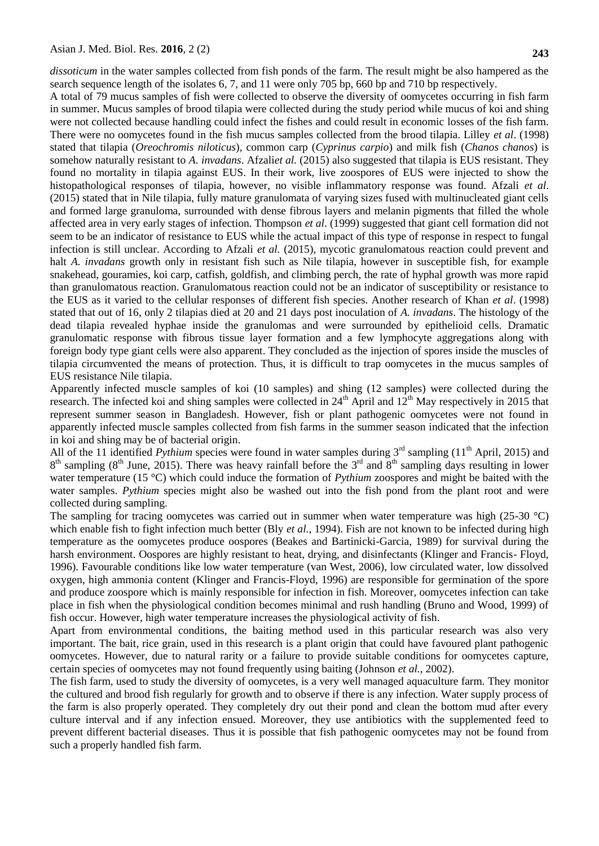*dissoticum* in the water samples collected from fish ponds of the farm. The result might be also hampered as the search sequence length of the isolates 6, 7, and 11 were only 705 bp, 660 bp and 710 bp respectively.

A total of 79 mucus samples of fish were collected to observe the diversity of oomycetes occurring in fish farm in summer. Mucus samples of brood tilapia were collected during the study period while mucus of koi and shing were not collected because handling could infect the fishes and could result in economic losses of the fish farm. There were no oomycetes found in the fish mucus samples collected from the brood tilapia. Lilley *et al*. (1998) stated that tilapia (*Oreochromis niloticus*), common carp (*Cyprinus carpio*) and milk fish (*Chanos chanos*) is somehow naturally resistant to *A. invadans*. Afzali*et al.* (2015) also suggested that tilapia is EUS resistant. They found no mortality in tilapia against EUS. In their work, live zoospores of EUS were injected to show the histopathological responses of tilapia, however, no visible inflammatory response was found. Afzali *et al*. (2015) stated that in Nile tilapia, fully mature granulomata of varying sizes fused with multinucleated giant cells and formed large granuloma, surrounded with dense fibrous layers and melanin pigments that filled the whole affected area in very early stages of infection. Thompson *et al*. (1999) suggested that giant cell formation did not seem to be an indicator of resistance to EUS while the actual impact of this type of response in respect to fungal infection is still unclear. According to Afzali *et al.* (2015), mycotic granulomatous reaction could prevent and halt *A. invadans* growth only in resistant fish such as Nile tilapia, however in susceptible fish, for example snakehead, gouramies, koi carp, catfish, goldfish, and climbing perch, the rate of hyphal growth was more rapid than granulomatous reaction. Granulomatous reaction could not be an indicator of susceptibility or resistance to the EUS as it varied to the cellular responses of different fish species. Another research of Khan *et al*. (1998) stated that out of 16, only 2 tilapias died at 20 and 21 days post inoculation of *A. invadans*. The histology of the dead tilapia revealed hyphae inside the granulomas and were surrounded by epithelioid cells. Dramatic granulomatic response with fibrous tissue layer formation and a few lymphocyte aggregations along with foreign body type giant cells were also apparent. They concluded as the injection of spores inside the muscles of tilapia circumvented the means of protection. Thus, it is difficult to trap oomycetes in the mucus samples of EUS resistance Nile tilapia.

Apparently infected muscle samples of koi (10 samples) and shing (12 samples) were collected during the research. The infected koi and shing samples were collected in  $24<sup>th</sup>$  April and  $12<sup>th</sup>$  May respectively in 2015 that represent summer season in Bangladesh. However, fish or plant pathogenic oomycetes were not found in apparently infected muscle samples collected from fish farms in the summer season indicated that the infection in koi and shing may be of bacterial origin.

All of the 11 identified *Pythium* species were found in water samples during 3<sup>rd</sup> sampling (11<sup>th</sup> April, 2015) and  $8<sup>th</sup>$  sampling ( $8<sup>th</sup>$  June, 2015). There was heavy rainfall before the  $3<sup>rd</sup>$  and  $8<sup>th</sup>$  sampling days resulting in lower water temperature (15 °C) which could induce the formation of *Pythium* zoospores and might be baited with the water samples. *Pythium* species might also be washed out into the fish pond from the plant root and were collected during sampling.

The sampling for tracing oomycetes was carried out in summer when water temperature was high (25-30  $^{\circ}$ C) which enable fish to fight infection much better (Bly *et al.*, 1994). Fish are not known to be infected during high temperature as the oomycetes produce oospores (Beakes and Bartinicki-Garcia, 1989) for survival during the harsh environment. Oospores are highly resistant to heat, drying, and disinfectants (Klinger and Francis- Floyd, 1996). Favourable conditions like low water temperature (van West, 2006), low circulated water, low dissolved oxygen, high ammonia content (Klinger and Francis-Floyd, 1996) are responsible for germination of the spore and produce zoospore which is mainly responsible for infection in fish. Moreover, oomycetes infection can take place in fish when the physiological condition becomes minimal and rush handling (Bruno and Wood, 1999) of fish occur. However, high water temperature increases the physiological activity of fish.

Apart from environmental conditions, the baiting method used in this particular research was also very important. The bait, rice grain, used in this research is a plant origin that could have favoured plant pathogenic oomycetes. However, due to natural rarity or a failure to provide suitable conditions for oomycetes capture, certain species of oomycetes may not found frequently using baiting (Johnson *et al.*, 2002).

The fish farm, used to study the diversity of oomycetes, is a very well managed aquaculture farm. They monitor the cultured and brood fish regularly for growth and to observe if there is any infection. Water supply process of the farm is also properly operated. They completely dry out their pond and clean the bottom mud after every culture interval and if any infection ensued. Moreover, they use antibiotics with the supplemented feed to prevent different bacterial diseases. Thus it is possible that fish pathogenic oomycetes may not be found from such a properly handled fish farm.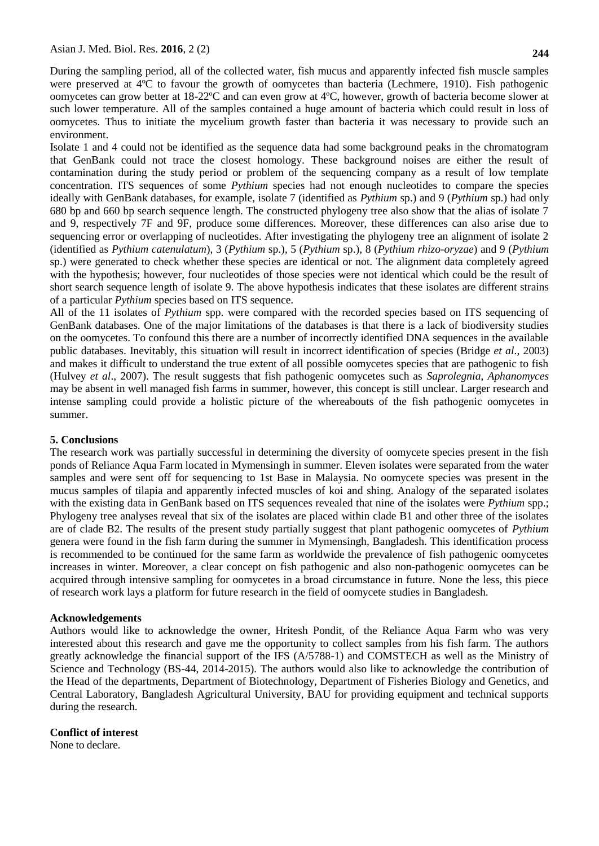During the sampling period, all of the collected water, fish mucus and apparently infected fish muscle samples were preserved at 4ºC to favour the growth of oomycetes than bacteria (Lechmere, 1910). Fish pathogenic oomycetes can grow better at 18-22ºC and can even grow at 4ºC, however, growth of bacteria become slower at such lower temperature. All of the samples contained a huge amount of bacteria which could result in loss of oomycetes. Thus to initiate the mycelium growth faster than bacteria it was necessary to provide such an environment.

Isolate 1 and 4 could not be identified as the sequence data had some background peaks in the chromatogram that GenBank could not trace the closest homology. These background noises are either the result of contamination during the study period or problem of the sequencing company as a result of low template concentration. ITS sequences of some *Pythium* species had not enough nucleotides to compare the species ideally with GenBank databases, for example, isolate 7 (identified as *Pythium* sp.) and 9 (*Pythium* sp.) had only 680 bp and 660 bp search sequence length. The constructed phylogeny tree also show that the alias of isolate 7 and 9, respectively 7F and 9F, produce some differences. Moreover, these differences can also arise due to sequencing error or overlapping of nucleotides. After investigating the phylogeny tree an alignment of isolate 2 (identified as *Pythium catenulatum*), 3 (*Pythium* sp.), 5 (*Pythium* sp.), 8 (*Pythium rhizo-oryzae*) and 9 (*Pythium* sp.) were generated to check whether these species are identical or not. The alignment data completely agreed with the hypothesis; however, four nucleotides of those species were not identical which could be the result of short search sequence length of isolate 9. The above hypothesis indicates that these isolates are different strains of a particular *Pythium* species based on ITS sequence.

All of the 11 isolates of *Pythium* spp. were compared with the recorded species based on ITS sequencing of GenBank databases. One of the major limitations of the databases is that there is a lack of biodiversity studies on the oomycetes. To confound this there are a number of incorrectly identified DNA sequences in the available public databases. Inevitably, this situation will result in incorrect identification of species (Bridge *et al*., 2003) and makes it difficult to understand the true extent of all possible oomycetes species that are pathogenic to fish (Hulvey *et al*., 2007). The result suggests that fish pathogenic oomycetes such as *Saprolegnia*, *Aphanomyces* may be absent in well managed fish farms in summer, however, this concept is still unclear. Larger research and intense sampling could provide a holistic picture of the whereabouts of the fish pathogenic oomycetes in summer.

# **5. Conclusions**

The research work was partially successful in determining the diversity of oomycete species present in the fish ponds of Reliance Aqua Farm located in Mymensingh in summer. Eleven isolates were separated from the water samples and were sent off for sequencing to 1st Base in Malaysia. No oomycete species was present in the mucus samples of tilapia and apparently infected muscles of koi and shing. Analogy of the separated isolates with the existing data in GenBank based on ITS sequences revealed that nine of the isolates were *Pythium* spp.; Phylogeny tree analyses reveal that six of the isolates are placed within clade B1 and other three of the isolates are of clade B2. The results of the present study partially suggest that plant pathogenic oomycetes of *Pythium* genera were found in the fish farm during the summer in Mymensingh, Bangladesh. This identification process is recommended to be continued for the same farm as worldwide the prevalence of fish pathogenic oomycetes increases in winter. Moreover, a clear concept on fish pathogenic and also non-pathogenic oomycetes can be acquired through intensive sampling for oomycetes in a broad circumstance in future. None the less, this piece of research work lays a platform for future research in the field of oomycete studies in Bangladesh.

#### **Acknowledgements**

Authors would like to acknowledge the owner, Hritesh Pondit, of the Reliance Aqua Farm who was very interested about this research and gave me the opportunity to collect samples from his fish farm. The authors greatly acknowledge the financial support of the IFS (A/5788-1) and COMSTECH as well as the Ministry of Science and Technology (BS-44, 2014-2015). The authors would also like to acknowledge the contribution of the Head of the departments, Department of Biotechnology, Department of Fisheries Biology and Genetics, and Central Laboratory, Bangladesh Agricultural University, BAU for providing equipment and technical supports during the research.

#### **Conflict of interest**

None to declare.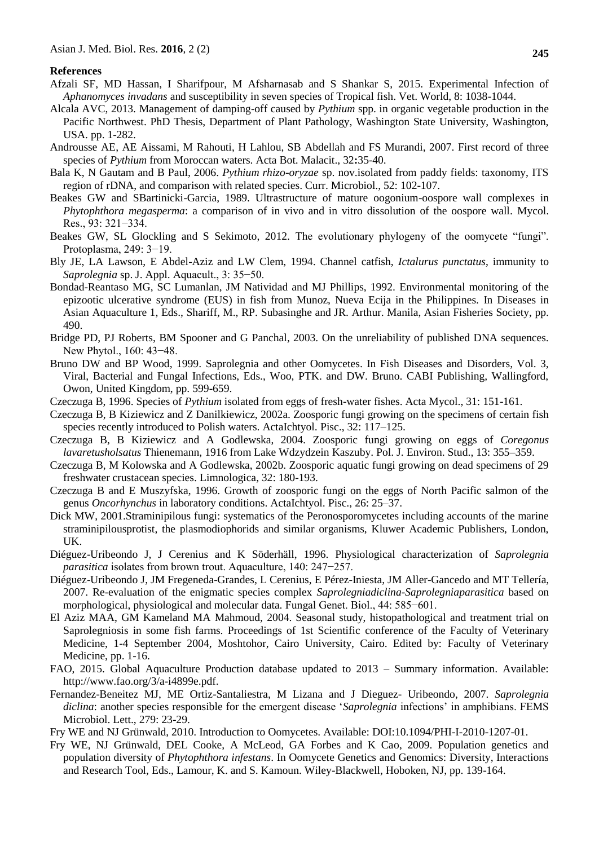#### **References**

- Afzali SF, MD Hassan, I Sharifpour, M Afsharnasab and S Shankar S, 2015. Experimental Infection of *Aphanomyces invadans* and susceptibility in seven species of Tropical fish. Vet. World, 8: 1038-1044.
- Alcala AVC, 2013. Management of damping-off caused by *Pythium* spp. in organic vegetable production in the Pacific Northwest. PhD Thesis, Department of Plant Pathology, Washington State University, Washington, USA. pp. 1-282.
- Androusse AE, AE Aissami, M Rahouti, H Lahlou, SB Abdellah and FS Murandi, 2007. First record of three species of *Pythium* from Moroccan waters. Acta Bot. Malacit., 32**:**35-40.
- Bala K, N Gautam and B Paul, 2006. *Pythium rhizo-oryzae* sp. nov.isolated from paddy fields: taxonomy, ITS region of rDNA, and comparison with related species. Curr. Microbiol., 52: 102-107.
- Beakes GW and SBartinicki-Garcia, 1989. Ultrastructure of mature oogonium-oospore wall complexes in *Phytophthora megasperma*: a comparison of in vivo and in vitro dissolution of the oospore wall. Mycol. Res., 93: 321−334.
- Beakes GW, SL Glockling and S Sekimoto, 2012. The evolutionary phylogeny of the oomycete "fungi". Protoplasma, 249: 3−19.
- Bly JE, LA Lawson, E Abdel-Aziz and LW Clem, 1994. Channel catfish, *Ictalurus punctatus*, immunity to *Saprolegnia* sp. J. Appl. Aquacult., 3: 35−50.
- Bondad-Reantaso MG, SC Lumanlan, JM Natividad and MJ Phillips, 1992. Environmental monitoring of the epizootic ulcerative syndrome (EUS) in fish from Munoz, Nueva Ecija in the Philippines. In Diseases in Asian Aquaculture 1, Eds., Shariff, M., RP. Subasinghe and JR. Arthur. Manila, Asian Fisheries Society, pp. 490.
- Bridge PD, PJ Roberts, BM Spooner and G Panchal, 2003. On the unreliability of published DNA sequences. New Phytol., 160: 43–48.
- Bruno DW and BP Wood, 1999. Saprolegnia and other Oomycetes. In Fish Diseases and Disorders, Vol. 3, Viral, Bacterial and Fungal Infections, Eds., Woo, PTK. and DW. Bruno. CABI Publishing, Wallingford, Owon, United Kingdom, pp. 599-659.
- Czeczuga B, 1996. Species of *Pythium* isolated from eggs of fresh-water fishes. Acta Mycol., 31: 151-161.
- Czeczuga B, B Kiziewicz and Z Danilkiewicz, 2002a. Zoosporic fungi growing on the specimens of certain fish species recently introduced to Polish waters. ActaIchtyol. Pisc., 32: 117–125.
- Czeczuga B, B Kiziewicz and A Godlewska, 2004. Zoosporic fungi growing on eggs of *Coregonus lavaretusholsatus* Thienemann, 1916 from Lake Wdzydzein Kaszuby. Pol. J. Environ. Stud., 13: 355–359.
- Czeczuga B, M Kolowska and A Godlewska, 2002b. Zoosporic aquatic fungi growing on dead specimens of 29 freshwater crustacean species. Limnologica, 32: 180-193.
- Czeczuga B and E Muszyfska, 1996. Growth of zoosporic fungi on the eggs of North Pacific salmon of the genus *Oncorhynchus* in laboratory conditions. ActaIchtyol. Pisc., 26: 25–37.
- Dick MW, 2001.Straminipilous fungi: systematics of the Peronosporomycetes including accounts of the marine straminipilousprotist, the plasmodiophorids and similar organisms, Kluwer Academic Publishers, London, UK.
- Diéguez-Uribeondo J, J Cerenius and K Söderhäll, 1996. Physiological characterization of *Saprolegnia parasitica* isolates from brown trout. Aquaculture, 140: 247−257.
- Diéguez-Uribeondo J, JM Fregeneda-Grandes, L Cerenius, E Pérez-Iniesta, JM Aller-Gancedo and MT Tellería, 2007. Re-evaluation of the enigmatic species complex *Saprolegniadiclina*-*Saprolegniaparasitica* based on morphological, physiological and molecular data. Fungal Genet. Biol., 44: 585−601.
- El Aziz MAA, GM Kameland MA Mahmoud, 2004. Seasonal study, histopathological and treatment trial on Saprolegniosis in some fish farms. Proceedings of 1st Scientific conference of the Faculty of Veterinary Medicine, 1-4 September 2004, Moshtohor, Cairo University, Cairo. Edited by: Faculty of Veterinary Medicine, pp. 1-16.
- FAO, 2015. Global Aquaculture Production database updated to 2013 Summary information. Available: [http://www.fao.org/3/a-i4899e.pdf.](http://www.fao.org/3/a-i4899e.pdf)
- Fernandez-Beneitez MJ, ME Ortiz-Santaliestra, M Lizana and J Dieguez- Uribeondo, 2007. *Saprolegnia diclina*: another species responsible for the emergent disease "*Saprolegnia* infections" in amphibians. FEMS Microbiol. Lett., 279: 23-29.

Fry WE and NJ Grünwald, 2010. Introduction to Oomycetes. Available: DOI:10.1094/PHI-I-2010-1207-01.

Fry WE, NJ Grünwald, DEL Cooke, A McLeod, GA Forbes and K Cao, 2009. Population genetics and population diversity of *Phytophthora infestans*. In Oomycete Genetics and Genomics: Diversity, Interactions and Research Tool, Eds., Lamour, K. and S. Kamoun. Wiley-Blackwell, Hoboken, NJ, pp. 139-164.